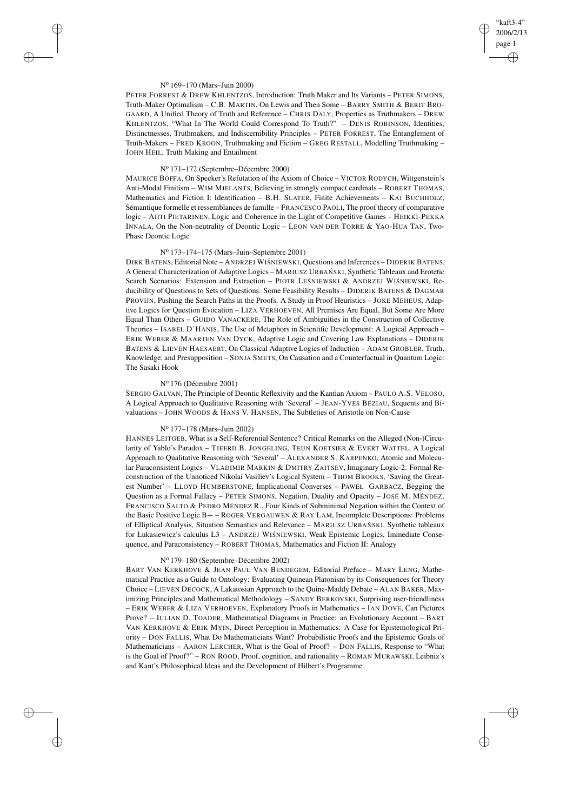## "kaft3-4" 2006/2/13 page 1 ✐ ✐

✐

✐

#### N<sup>o</sup> 169–170 (Mars–Juin 2000)

✐

✐

✐

✐

PETER FORREST & DREW KHLENTZOS, Introduction: Truth Maker and Its Variants – PETER SIMONS, Truth-Maker Optimalism – C.B. MARTIN, On Lewis and Then Some – BARRY SMITH & BERIT BRO-GAARD, A Unified Theory of Truth and Reference – CHRIS DALY, Properties as Truthmakers – DREW KHLENTZOS, "What In The World Could Correspond To Truth?" – DENIS ROBINSON, Identities, Distinctnesses, Truthmakers, and Indiscernibility Principles – PETER FORREST, The Entanglement of Truth-Makers – FRED KROON, Truthmaking and Fiction – GREG RESTALL, Modelling Truthmaking – JOHN HEIL, Truth Making and Entailment

#### N<sup>o</sup> 171–172 (Septembre–Décembre 2000)

MAURICE BOFFA, On Specker's Refutation of the Axiom of Choice – VICTOR RODYCH, Wittgenstein's Anti-Modal Finitism – WIM MIELANTS, Believing in strongly compact cardinals – ROBERT THOMAS, Mathematics and Fiction I: Identification – B.H. SLATER, Finite Achievements – KAI BUCHHOLZ, Sémantique formelle et ressemblances de famille – FRANCESCO PAOLI, The proof theory of comparative logic – AHTI PIETARINEN, Logic and Coherence in the Light of Competitive Games – HEIKKI-PEKKA INNALA, On the Non-neutrality of Deontic Logic – LEON VAN DER TORRE & YAO-HUA TAN, Two-Phase Deontic Logic

# N<sup>o</sup> 173–174–175 (Mars–Juin–Septembre 2001)

DIRK BATENS, Editorial Note – ANDRZEJ WIŚNIEWSKI, Questions and Inferences – DIDERIK BATENS, A General Characterization of Adaptive Logics - MARIUSZ URBAŃSKI, Synthetic Tableaux and Erotetic Search Scenarios: Extension and Extraction - PIOTR LEŚNIEWSKI & ANDRZEJ WIŚNIEWSKI, Reducibility of Questions to Sets of Questions: Some Feasibility Results – DIDERIK BATENS & DAGMAR PROVIJN, Pushing the Search Paths in the Proofs. A Study in Proof Heuristics – JOKE MEHEUS, Adaptive Logics for Question Evocation – LIZA VERHOEVEN, All Premises Are Equal, But Some Are More Equal Than Others – GUIDO VANACKERE, The Role of Ambiguities in the Construction of Collective Theories – ISABEL D'HANIS, The Use of Metaphors in Scientific Development: A Logical Approach – ERIK WEBER & MAARTEN VAN DYCK, Adaptive Logic and Covering Law Explanations – DIDERIK BATENS & LIEVEN HAESAERT, On Classical Adaptive Logics of Induction – ADAM GROBLER, Truth, Knowledge, and Presupposition – SONJA SMETS, On Causation and a Counterfactual in Quantum Logic: The Sasaki Hook

## N<sup>o</sup> 176 (Décembre 2001)

SERGIO GALVAN, The Principle of Deontic Reflexivity and the Kantian Axiom – PAULO A.S. VELOSO, A Logical Approach to Qualitative Reasoning with 'Several' – JEAN-YVES BÉZIAU, Sequents and Bivaluations – JOHN WOODS & HANS V. HANSEN, The Subtleties of Aristotle on Non-Cause

## N<sup>o</sup> 177–178 (Mars–Juin 2002)

HANNES LEITGEB, What is a Self-Referential Sentence? Critical Remarks on the Alleged (Non-)Circularity of Yablo's Paradox - TJEERD B. JONGELING, TEUN KOETSIER & EVERT WATTEL, A Logical Approach to Qualitative Reasoning with 'Several' – ALEXANDER S. KARPENKO, Atomic and Molecular Paraconsistent Logics – VLADIMIR MARKIN & DMITRY ZAITSEV, Imaginary Logic-2: Formal Reconstruction of the Unnoticed Nikolai Vasiliev's Logical System – THOM BROOKS, 'Saving the Greatest Number' – LLOYD HUMBERSTONE, Implicational Converses – PAWEŁ GARBACZ, Begging the Question as a Formal Fallacy – PETER SIMONS, Negation, Duality and Opacity – JOSÉ M. MÉNDEZ, FRANCISCO SALTO & PEDRO MÉNDEZ R., Four Kinds of Subminimal Negation within the Context of the Basic Positive Logic B+ – ROGER VERGAUWEN & RAY LAM, Incomplete Descriptions: Problems of Elliptical Analysis, Situation Semantics and Relevance – MARIUSZ URBAŃ SKI, Synthetic tableaux for Łukasiewicz's calculus Ł3 – ANDRZEJ WIŚNIEWSKI, Weak Epistemic Logics, Immediate Consequence, and Paraconsistency – ROBERT THOMAS, Mathematics and Fiction II: Analogy

#### N<sup>o</sup> 179–180 (Septembre–Décembre 2002)

BART VAN KERKHOVE & JEAN PAUL VAN BENDEGEM, Editorial Preface – MARY LENG, Mathematical Practice as a Guide to Ontology: Evaluating Quinean Platonism by its Consequences for Theory Choice – LIEVEN DECOCK, A Lakatosian Approach to the Quine-Maddy Debate – ALAN BAKER, Maximizing Principles and Mathematical Methodology – SANDY BERKOVSKI, Surprising user-friendliness – ERIK WEBER & LIZA VERHOEVEN, Explanatory Proofs in Mathematics – IAN DOVE, Can Pictures Prove? – IULIAN D. TOADER, Mathematical Diagrams in Practice: an Evolutionary Account – BART VAN KERKHOVE & ERIK MYIN, Direct Perception in Mathematics: A Case for Epistemological Priority – DON FALLIS, What Do Mathematicians Want? Probabilistic Proofs and the Epistemic Goals of Mathematicians – AARON LERCHER, What is the Goal of Proof? – DON FALLIS, Response to "What is the Goal of Proof?" – RON ROOD, Proof, cognition, and rationality – ROMAN MURAWSKI, Leibniz's and Kant's Philosophical Ideas and the Development of Hilbert's Programme